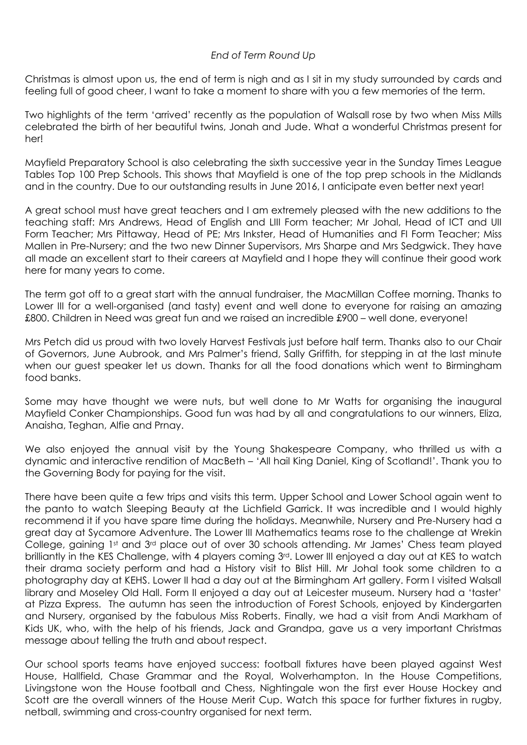## *End of Term Round Up*

Christmas is almost upon us, the end of term is nigh and as I sit in my study surrounded by cards and feeling full of good cheer, I want to take a moment to share with you a few memories of the term.

Two highlights of the term 'arrived' recently as the population of Walsall rose by two when Miss Mills celebrated the birth of her beautiful twins, Jonah and Jude. What a wonderful Christmas present for her!

Mayfield Preparatory School is also celebrating the sixth successive year in the Sunday Times League Tables Top 100 Prep Schools. This shows that Mayfield is one of the top prep schools in the Midlands and in the country. Due to our outstanding results in June 2016, I anticipate even better next year!

A great school must have great teachers and I am extremely pleased with the new additions to the teaching staff: Mrs Andrews, Head of English and LIII Form teacher; Mr Johal, Head of ICT and UII Form Teacher; Mrs Pittaway, Head of PE; Mrs Inkster, Head of Humanities and FI Form Teacher; Miss Mallen in Pre-Nursery; and the two new Dinner Supervisors, Mrs Sharpe and Mrs Sedgwick. They have all made an excellent start to their careers at Mayfield and I hope they will continue their good work here for many years to come.

The term got off to a great start with the annual fundraiser, the MacMillan Coffee morning. Thanks to Lower III for a well-organised (and tasty) event and well done to everyone for raising an amazing £800. Children in Need was great fun and we raised an incredible £900 – well done, everyone!

Mrs Petch did us proud with two lovely Harvest Festivals just before half term. Thanks also to our Chair of Governors, June Aubrook, and Mrs Palmer's friend, Sally Griffith, for stepping in at the last minute when our guest speaker let us down. Thanks for all the food donations which went to Birmingham food banks.

Some may have thought we were nuts, but well done to Mr Watts for organising the inaugural Mayfield Conker Championships. Good fun was had by all and congratulations to our winners, Eliza, Anaisha, Teghan, Alfie and Prnay.

We also enjoved the annual visit by the Young Shakespeare Company, who thrilled us with a dynamic and interactive rendition of MacBeth – 'All hail King Daniel, King of Scotland!'. Thank you to the Governing Body for paying for the visit.

There have been quite a few trips and visits this term. Upper School and Lower School again went to the panto to watch Sleeping Beauty at the Lichfield Garrick. It was incredible and I would highly recommend it if you have spare time during the holidays. Meanwhile, Nursery and Pre-Nursery had a great day at Sycamore Adventure. The Lower III Mathematics teams rose to the challenge at Wrekin College, gaining 1st and 3<sup>rd</sup> place out of over 30 schools attending. Mr James' Chess team played brilliantly in the KES Challenge, with 4 players coming 3rd. Lower III enjoyed a day out at KES to watch their drama society perform and had a History visit to Blist Hill. Mr Johal took some children to a photography day at KEHS. Lower II had a day out at the Birmingham Art gallery. Form I visited Walsall library and Moseley Old Hall. Form II enjoyed a day out at Leicester museum. Nursery had a 'taster' at Pizza Express. The autumn has seen the introduction of Forest Schools, enjoyed by Kindergarten and Nursery, organised by the fabulous Miss Roberts. Finally, we had a visit from Andi Markham of Kids UK, who, with the help of his friends, Jack and Grandpa, gave us a very important Christmas message about telling the truth and about respect.

Our school sports teams have enjoyed success: football fixtures have been played against West House, Hallfield, Chase Grammar and the Royal, Wolverhampton. In the House Competitions, Livingstone won the House football and Chess, Nightingale won the first ever House Hockey and Scott are the overall winners of the House Merit Cup. Watch this space for further fixtures in rugby, netball, swimming and cross-country organised for next term.